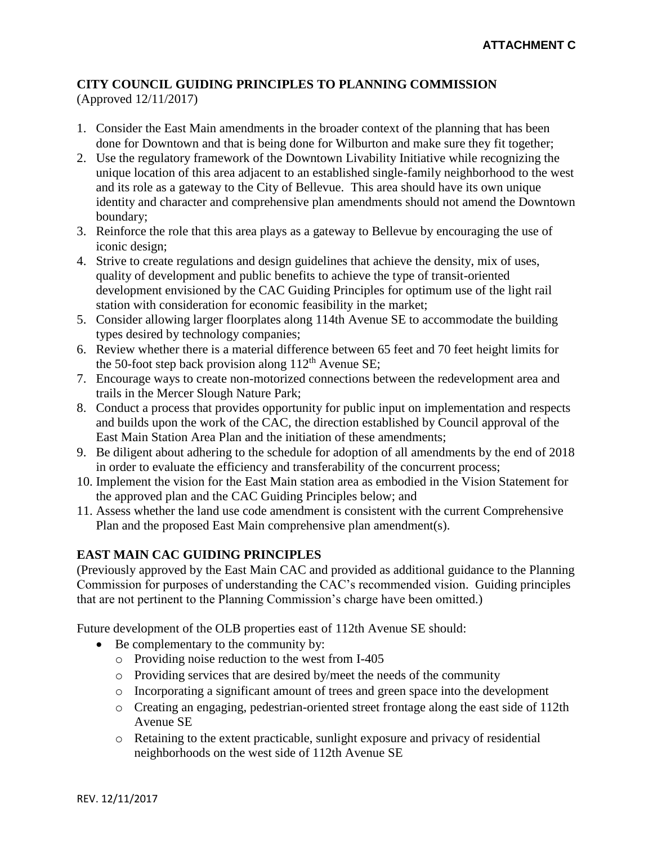## **CITY COUNCIL GUIDING PRINCIPLES TO PLANNING COMMISSION** (Approved 12/11/2017)

- 1. Consider the East Main amendments in the broader context of the planning that has been done for Downtown and that is being done for Wilburton and make sure they fit together;
- 2. Use the regulatory framework of the Downtown Livability Initiative while recognizing the unique location of this area adjacent to an established single-family neighborhood to the west and its role as a gateway to the City of Bellevue. This area should have its own unique identity and character and comprehensive plan amendments should not amend the Downtown boundary;
- 3. Reinforce the role that this area plays as a gateway to Bellevue by encouraging the use of iconic design;
- 4. Strive to create regulations and design guidelines that achieve the density, mix of uses, quality of development and public benefits to achieve the type of transit-oriented development envisioned by the CAC Guiding Principles for optimum use of the light rail station with consideration for economic feasibility in the market;
- 5. Consider allowing larger floorplates along 114th Avenue SE to accommodate the building types desired by technology companies;
- 6. Review whether there is a material difference between 65 feet and 70 feet height limits for the 50-foot step back provision along  $112<sup>th</sup>$  Avenue SE;
- 7. Encourage ways to create non-motorized connections between the redevelopment area and trails in the Mercer Slough Nature Park;
- 8. Conduct a process that provides opportunity for public input on implementation and respects and builds upon the work of the CAC, the direction established by Council approval of the East Main Station Area Plan and the initiation of these amendments;
- 9. Be diligent about adhering to the schedule for adoption of all amendments by the end of 2018 in order to evaluate the efficiency and transferability of the concurrent process;
- 10. Implement the vision for the East Main station area as embodied in the Vision Statement for the approved plan and the CAC Guiding Principles below; and
- 11. Assess whether the land use code amendment is consistent with the current Comprehensive Plan and the proposed East Main comprehensive plan amendment(s).

## **EAST MAIN CAC GUIDING PRINCIPLES**

(Previously approved by the East Main CAC and provided as additional guidance to the Planning Commission for purposes of understanding the CAC's recommended vision. Guiding principles that are not pertinent to the Planning Commission's charge have been omitted.)

Future development of the OLB properties east of 112th Avenue SE should:

- Be complementary to the community by:
	- o Providing noise reduction to the west from I-405
	- o Providing services that are desired by/meet the needs of the community
	- o Incorporating a significant amount of trees and green space into the development
	- o Creating an engaging, pedestrian-oriented street frontage along the east side of 112th Avenue SE
	- o Retaining to the extent practicable, sunlight exposure and privacy of residential neighborhoods on the west side of 112th Avenue SE